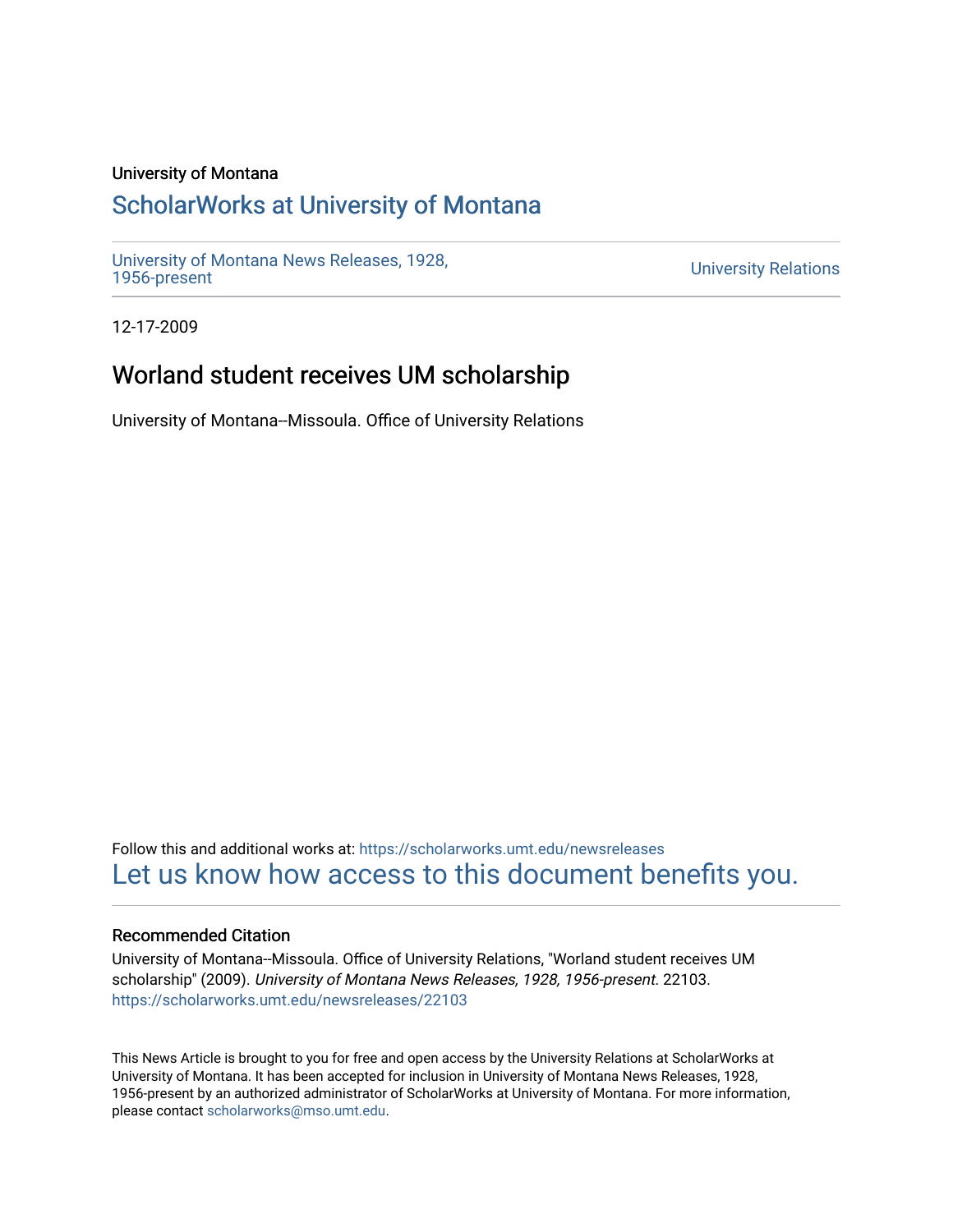#### University of Montana

# [ScholarWorks at University of Montana](https://scholarworks.umt.edu/)

[University of Montana News Releases, 1928,](https://scholarworks.umt.edu/newsreleases) 

**University Relations** 

12-17-2009

## Worland student receives UM scholarship

University of Montana--Missoula. Office of University Relations

Follow this and additional works at: [https://scholarworks.umt.edu/newsreleases](https://scholarworks.umt.edu/newsreleases?utm_source=scholarworks.umt.edu%2Fnewsreleases%2F22103&utm_medium=PDF&utm_campaign=PDFCoverPages) [Let us know how access to this document benefits you.](https://goo.gl/forms/s2rGfXOLzz71qgsB2) 

#### Recommended Citation

University of Montana--Missoula. Office of University Relations, "Worland student receives UM scholarship" (2009). University of Montana News Releases, 1928, 1956-present. 22103. [https://scholarworks.umt.edu/newsreleases/22103](https://scholarworks.umt.edu/newsreleases/22103?utm_source=scholarworks.umt.edu%2Fnewsreleases%2F22103&utm_medium=PDF&utm_campaign=PDFCoverPages) 

This News Article is brought to you for free and open access by the University Relations at ScholarWorks at University of Montana. It has been accepted for inclusion in University of Montana News Releases, 1928, 1956-present by an authorized administrator of ScholarWorks at University of Montana. For more information, please contact [scholarworks@mso.umt.edu.](mailto:scholarworks@mso.umt.edu)